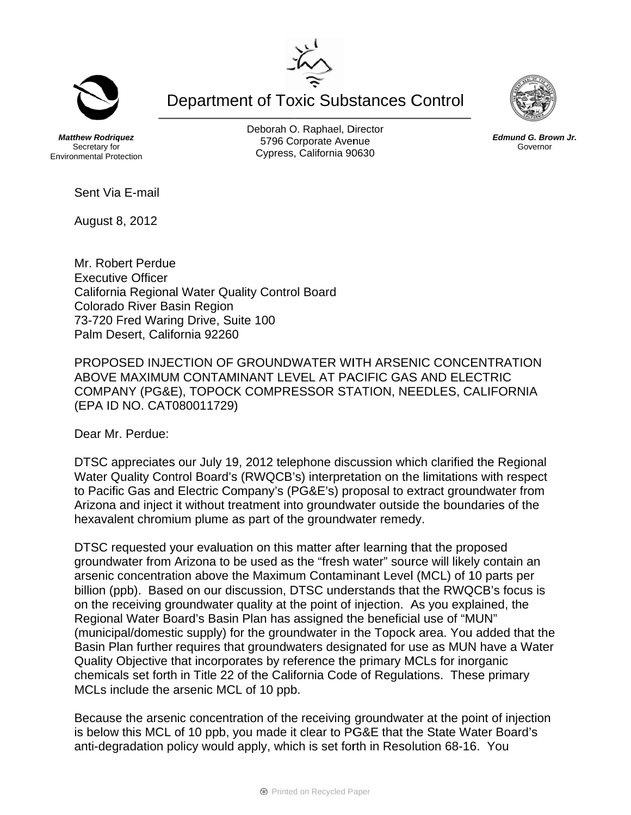**Department of Toxic Substances Control** 

**Matthew Rodriguez** Secretary for **Environmental Protection**  Deborah O. Raphael, Director 5796 Corporate Avenue Cypress, California 90630

Sent Via E-mail

August 8, 2012

Mr. Robert Perdue **Executive Officer** California Regional Water Quality Control Board Colorado River Basin Region 73-720 Fred Waring Drive, Suite 100 Palm Desert, California 92260

PROPOSED INJECTION OF GROUNDWATER WITH ARSENIC CONCENTRATION ABOVE MAXIMUM CONTAMINANT LEVEL AT PACIFIC GAS AND ELECTRIC COMPANY (PG&E), TOPOCK COMPRESSOR STATION, NEEDLES, CALIFORNIA (EPA ID NO. CAT080011729)

Dear Mr. Perdue:

DTSC appreciates our July 19, 2012 telephone discussion which clarified the Regional Water Quality Control Board's (RWQCB's) interpretation on the limitations with respect to Pacific Gas and Electric Company's (PG&E's) proposal to extract groundwater from Arizona and inject it without treatment into groundwater outside the boundaries of the hexavalent chromium plume as part of the groundwater remedy.

DTSC requested your evaluation on this matter after learning that the proposed groundwater from Arizona to be used as the "fresh water" source will likely contain an arsenic concentration above the Maximum Contaminant Level (MCL) of 10 parts per billion (ppb). Based on our discussion, DTSC understands that the RWQCB's focus is on the receiving groundwater quality at the point of injection. As you explained, the Regional Water Board's Basin Plan has assigned the beneficial use of "MUN" (municipal/domestic supply) for the groundwater in the Topock area. You added that the Basin Plan further requires that groundwaters designated for use as MUN have a Water Quality Objective that incorporates by reference the primary MCLs for inorganic chemicals set forth in Title 22 of the California Code of Regulations. These primary MCLs include the arsenic MCL of 10 ppb.

Because the arsenic concentration of the receiving groundwater at the point of injection is below this MCL of 10 ppb, you made it clear to PG&E that the State Water Board's anti-degradation policy would apply, which is set forth in Resolution 68-16. You





Edmund G. Brown Jr. Governor